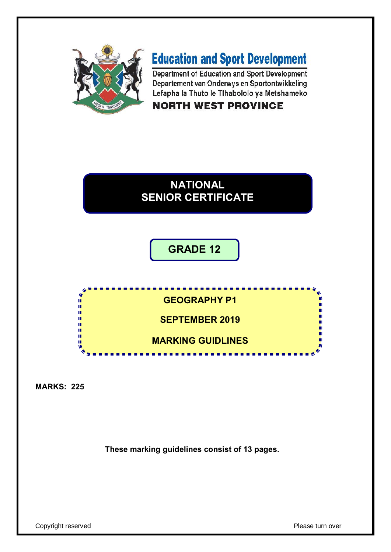

# **Education and Sport Development**

Department of Education and Sport Development Departement van Onderwys en Sportontwikkeling Lefapha la Thuto le Tihabololo ya Metshameko

### **NORTH WEST PROVINCE**

## **NATIONAL SENIOR CERTIFICATE**

### **GRADE 12**

**GEOGRAPHY P1** m φ ú, ú, **SEPTEMBER 2019** ú. m. п. **MARKING GUIDLINES**ú

<u>....................</u>

**MARKS: 225**

**These marking guidelines consist of 13 pages.**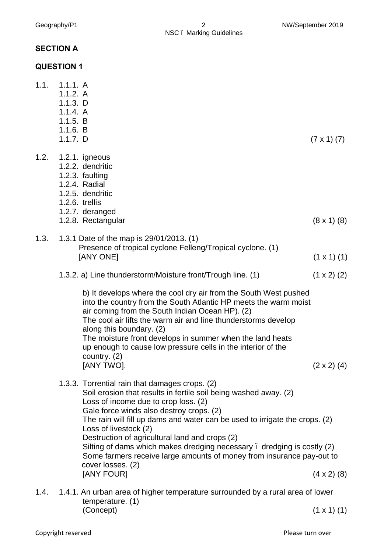Geography/P1 2 2 NW/September 2019 NSC – Marking Guidelines

#### **SECTION A**

#### **QUESTION 1**

|      | <u>י יוטוועש</u>                                                                        |                                                                                                                                                                                                                                                                                                                                                                                                                                                                                                                                                         |                      |
|------|-----------------------------------------------------------------------------------------|---------------------------------------------------------------------------------------------------------------------------------------------------------------------------------------------------------------------------------------------------------------------------------------------------------------------------------------------------------------------------------------------------------------------------------------------------------------------------------------------------------------------------------------------------------|----------------------|
|      | 1.1. 1.1.1. A<br>1.1.2. A<br>1.1.3. D<br>1.1.4. A<br>1.1.5. B<br>1.1.6. B<br>$1.1.7.$ D |                                                                                                                                                                                                                                                                                                                                                                                                                                                                                                                                                         | $(7 \times 1) (7)$   |
| 1.2. |                                                                                         | 1.2.1. igneous<br>1.2.2. dendritic<br>1.2.3. faulting<br>1.2.4. Radial<br>1.2.5. dendritic<br>1.2.6. trellis<br>1.2.7. deranged<br>1.2.8. Rectangular                                                                                                                                                                                                                                                                                                                                                                                                   | $(8 \times 1)$ $(8)$ |
| 1.3. |                                                                                         | 1.3.1 Date of the map is 29/01/2013. (1)<br>Presence of tropical cyclone Felleng/Tropical cyclone. (1)<br>[ANY ONE]                                                                                                                                                                                                                                                                                                                                                                                                                                     | $(1 \times 1)$ $(1)$ |
|      |                                                                                         | 1.3.2. a) Line thunderstorm/Moisture front/Trough line. (1)                                                                                                                                                                                                                                                                                                                                                                                                                                                                                             | $(1 \times 2)$ (2)   |
|      |                                                                                         | b) It develops where the cool dry air from the South West pushed<br>into the country from the South Atlantic HP meets the warm moist<br>air coming from the South Indian Ocean HP). (2)<br>The cool air lifts the warm air and line thunderstorms develop<br>along this boundary. (2)<br>The moisture front develops in summer when the land heats<br>up enough to cause low pressure cells in the interior of the<br>country. $(2)$<br>[ANY TWO].                                                                                                      | $(2 \times 2)$ (4)   |
|      |                                                                                         | 1.3.3. Torrential rain that damages crops. (2)<br>Soil erosion that results in fertile soil being washed away. (2)<br>Loss of income due to crop loss. (2)<br>Gale force winds also destroy crops. (2)<br>The rain will fill up dams and water can be used to irrigate the crops. (2)<br>Loss of livestock (2)<br>Destruction of agricultural land and crops (2)<br>Silting of dams which makes dredging necessary . dredging is costly (2)<br>Some farmers receive large amounts of money from insurance pay-out to<br>cover losses. (2)<br>[ANY FOUR] | $(4 \times 2)$ (8)   |
|      |                                                                                         |                                                                                                                                                                                                                                                                                                                                                                                                                                                                                                                                                         |                      |

1.4. 1.4.1. An urban area of higher temperature surrounded by a rural area of lower temperature. (1)  $(Concept)$   $(1 \times 1)$   $(1)$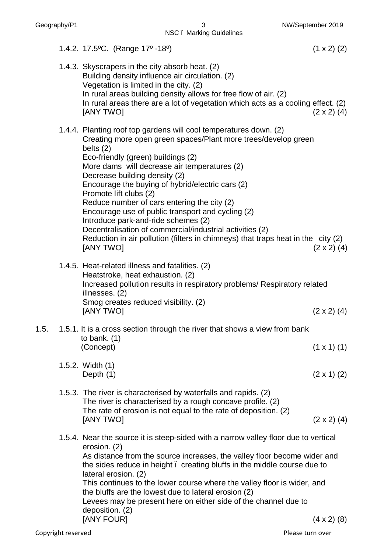NSC – Marking Guidelines

|      | 1.4.2. 17.5°C. (Range 17° -18°)                                                                                                                                                                                                                                                                                                                                                                                                                                                                                                                                                                                                                                 | $(1 \times 2)$ (2) |
|------|-----------------------------------------------------------------------------------------------------------------------------------------------------------------------------------------------------------------------------------------------------------------------------------------------------------------------------------------------------------------------------------------------------------------------------------------------------------------------------------------------------------------------------------------------------------------------------------------------------------------------------------------------------------------|--------------------|
|      | 1.4.3. Skyscrapers in the city absorb heat. (2)<br>Building density influence air circulation. (2)<br>Vegetation is limited in the city. (2)<br>In rural areas building density allows for free flow of air. (2)<br>In rural areas there are a lot of vegetation which acts as a cooling effect. (2)<br>[ANY TWO]                                                                                                                                                                                                                                                                                                                                               | $(2 \times 2)$ (4) |
|      | 1.4.4. Planting roof top gardens will cool temperatures down. (2)<br>Creating more open green spaces/Plant more trees/develop green<br>belts $(2)$<br>Eco-friendly (green) buildings (2)<br>More dams will decrease air temperatures (2)<br>Decrease building density (2)<br>Encourage the buying of hybrid/electric cars (2)<br>Promote lift clubs (2)<br>Reduce number of cars entering the city (2)<br>Encourage use of public transport and cycling (2)<br>Introduce park-and-ride schemes (2)<br>Decentralisation of commercial/industrial activities (2)<br>Reduction in air pollution (filters in chimneys) that traps heat in the city (2)<br>[ANY TWO] | $(2 \times 2)$ (4) |
|      | 1.4.5. Heat-related illness and fatalities. (2)<br>Heatstroke, heat exhaustion. (2)<br>Increased pollution results in respiratory problems/ Respiratory related<br>illnesses. (2)<br>Smog creates reduced visibility. (2)<br>[ANY TWO]                                                                                                                                                                                                                                                                                                                                                                                                                          | $(2 \times 2)$ (4) |
| 1.5. | 1.5.1. It is a cross section through the river that shows a view from bank                                                                                                                                                                                                                                                                                                                                                                                                                                                                                                                                                                                      |                    |
|      | to bank. $(1)$<br>(Concept)                                                                                                                                                                                                                                                                                                                                                                                                                                                                                                                                                                                                                                     | $(1 \times 1)$ (1) |
|      | 1.5.2. Width (1)<br>Depth (1)                                                                                                                                                                                                                                                                                                                                                                                                                                                                                                                                                                                                                                   | $(2 \times 1)$ (2) |
|      | 1.5.3. The river is characterised by waterfalls and rapids. (2)<br>The river is characterised by a rough concave profile. (2)<br>The rate of erosion is not equal to the rate of deposition. (2)<br>[ANY TWO]                                                                                                                                                                                                                                                                                                                                                                                                                                                   | $(2 \times 2)$ (4) |
|      | 1.5.4. Near the source it is steep-sided with a narrow valley floor due to vertical<br>erosion. (2)<br>As distance from the source increases, the valley floor become wider and<br>the sides reduce in height. creating bluffs in the middle course due to<br>lateral erosion. (2)<br>This continues to the lower course where the valley floor is wider, and<br>the bluffs are the lowest due to lateral erosion (2)<br>Levees may be present here on either side of the channel due to<br>deposition. (2)<br>[ANY FOUR]                                                                                                                                       | $(4 \times 2)$ (8) |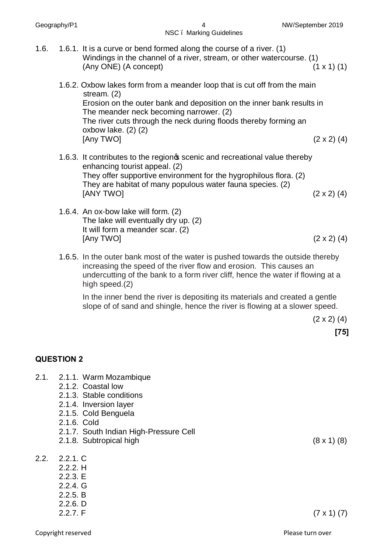NSC – Marking Guidelines

- 1.6. 1.6.1. It is a curve or bend formed along the course of a river. (1) Windings in the channel of a river, stream, or other watercourse. (1)  $(\text{Any ONE})$   $(\text{A concept})$  (1 x 1) (1)
	- 1.6.2. Oxbow lakes form from a meander loop that is cut off from the main stream. (2) Erosion on the outer bank and deposition on the inner bank results in The meander neck becoming narrower. (2) The river cuts through the neck during floods thereby forming an oxbow lake. (2) (2)  $[Any\ TVO]$  (2 x 2) (4)
	- 1.6.3. It contributes to the region scenic and recreational value thereby enhancing tourist appeal. (2) They offer supportive environment for the hygrophilous flora. (2) They are habitat of many populous water fauna species. (2)  $[ANY \, TWO]$  (2 x 2) (4)
	- 1.6.4. An ox-bow lake will form. (2) The lake will eventually dry up. (2) It will form a meander scar. (2)  $[Any TVO]$  (2 x 2) (4)
	- 1.6.5. In the outer bank most of the water is pushed towards the outside thereby increasing the speed of the river flow and erosion. This causes an undercutting of the bank to a form river cliff, hence the water if flowing at a high speed.(2)

In the inner bend the river is depositing its materials and created a gentle slope of of sand and shingle, hence the river is flowing at a slower speed.

 $(2 \times 2)$  (4)

**[75]**

#### **QUESTION 2**

- 2.1. 2.1.1. Warm Mozambique
	- 2.1.2. Coastal low
	- 2.1.3. Stable conditions
	- 2.1.4. Inversion layer
	- 2.1.5. Cold Benguela
	- 2.1.6. Cold
	- 2.1.7. South Indian High-Pressure Cell
	- 2.1.8. Subtropical high (8 x 1) (8)
- 2.2. 2.2.1. C
	- 2.2.2. H 2.2.3. E 2.2.4. G
	- 2.2.5. B
	- 2.2.6. D
	-

2.2.7. F  $(7 \times 1)$   $(7)$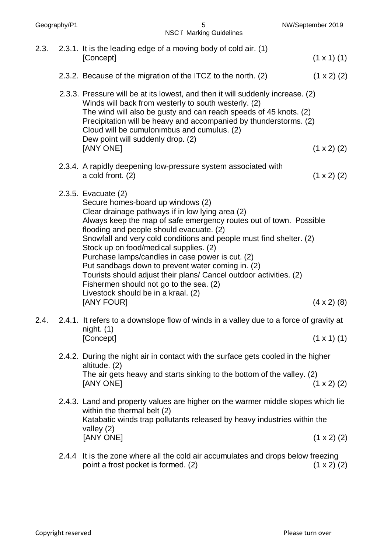| 2.3. | 2.3.1. It is the leading edge of a moving body of cold air. (1)                                                                                                                                                                                                                                                                                                                                                                                                                                                                                                                                                                |                      |
|------|--------------------------------------------------------------------------------------------------------------------------------------------------------------------------------------------------------------------------------------------------------------------------------------------------------------------------------------------------------------------------------------------------------------------------------------------------------------------------------------------------------------------------------------------------------------------------------------------------------------------------------|----------------------|
|      | [Concept]                                                                                                                                                                                                                                                                                                                                                                                                                                                                                                                                                                                                                      | $(1 \times 1)$ $(1)$ |
|      | 2.3.2. Because of the migration of the ITCZ to the north. (2)                                                                                                                                                                                                                                                                                                                                                                                                                                                                                                                                                                  | $(1 \times 2)$ (2)   |
|      | 2.3.3. Pressure will be at its lowest, and then it will suddenly increase. (2)<br>Winds will back from westerly to south westerly. (2)<br>The wind will also be gusty and can reach speeds of 45 knots. (2)<br>Precipitation will be heavy and accompanied by thunderstorms. (2)<br>Cloud will be cumulonimbus and cumulus. (2)<br>Dew point will suddenly drop. (2)<br>[ANY ONE]                                                                                                                                                                                                                                              | $(1 \times 2)$ (2)   |
|      | 2.3.4. A rapidly deepening low-pressure system associated with<br>a cold front. (2)                                                                                                                                                                                                                                                                                                                                                                                                                                                                                                                                            | $(1 \times 2)$ (2)   |
|      | 2.3.5. Evacuate (2)<br>Secure homes-board up windows (2)<br>Clear drainage pathways if in low lying area (2)<br>Always keep the map of safe emergency routes out of town. Possible<br>flooding and people should evacuate. (2)<br>Snowfall and very cold conditions and people must find shelter. (2)<br>Stock up on food/medical supplies. (2)<br>Purchase lamps/candles in case power is cut. (2)<br>Put sandbags down to prevent water coming in. (2)<br>Tourists should adjust their plans/ Cancel outdoor activities. (2)<br>Fishermen should not go to the sea. (2)<br>Livestock should be in a kraal. (2)<br>[ANY FOUR] | $(4 \times 2)$ (8)   |
| 2.4. | 2.4.1. It refers to a downslope flow of winds in a valley due to a force of gravity at<br>night. (1)<br>[Concept]                                                                                                                                                                                                                                                                                                                                                                                                                                                                                                              | $(1 \times 1)$ (1)   |
|      | 2.4.2. During the night air in contact with the surface gets cooled in the higher<br>altitude. (2)<br>The air gets heavy and starts sinking to the bottom of the valley. (2)<br>[ANY ONE]                                                                                                                                                                                                                                                                                                                                                                                                                                      | $(1 \times 2)$ (2)   |
|      | 2.4.3. Land and property values are higher on the warmer middle slopes which lie<br>within the thermal belt (2)<br>Katabatic winds trap pollutants released by heavy industries within the<br>valley $(2)$<br>[ANY ONE]                                                                                                                                                                                                                                                                                                                                                                                                        | $(1 \times 2)$ (2)   |
|      | 2.4.4 It is the zone where all the cold air accumulates and drops below freezing                                                                                                                                                                                                                                                                                                                                                                                                                                                                                                                                               |                      |
|      |                                                                                                                                                                                                                                                                                                                                                                                                                                                                                                                                                                                                                                |                      |

Geography/P1 5 NW/September 2019

NSC – Marking Guidelines

point a frost pocket is formed. (2)  $(1 \times 2)$  (2)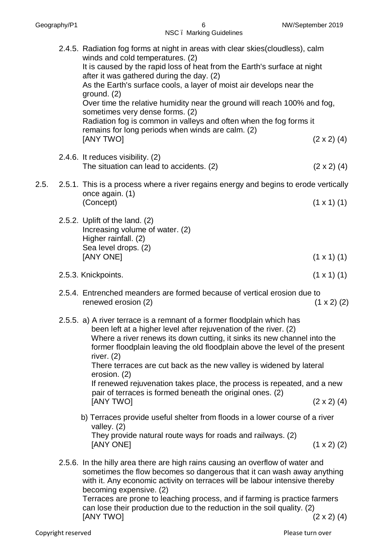|      | <b>INUC.</b> IVIAINIIY QUIUCIIIICS                                                                                                                                                                                                                                                                                                                                                                                                                                                                                                                                                          |                      |
|------|---------------------------------------------------------------------------------------------------------------------------------------------------------------------------------------------------------------------------------------------------------------------------------------------------------------------------------------------------------------------------------------------------------------------------------------------------------------------------------------------------------------------------------------------------------------------------------------------|----------------------|
|      | 2.4.5. Radiation fog forms at night in areas with clear skies(cloudless), calm<br>winds and cold temperatures. (2)<br>It is caused by the rapid loss of heat from the Earth's surface at night<br>after it was gathered during the day. (2)<br>As the Earth's surface cools, a layer of moist air develops near the<br>ground. $(2)$<br>Over time the relative humidity near the ground will reach 100% and fog,<br>sometimes very dense forms. (2)<br>Radiation fog is common in valleys and often when the fog forms it<br>remains for long periods when winds are calm. (2)<br>[ANY TWO] | $(2 \times 2)$ (4)   |
|      | 2.4.6. It reduces visibility. (2)<br>The situation can lead to accidents. (2)                                                                                                                                                                                                                                                                                                                                                                                                                                                                                                               | $(2 \times 2)$ (4)   |
| 2.5. | 2.5.1. This is a process where a river regains energy and begins to erode vertically<br>once again. (1)<br>(Concept)                                                                                                                                                                                                                                                                                                                                                                                                                                                                        | $(1 \times 1)$ $(1)$ |
|      | 2.5.2. Uplift of the land. (2)<br>Increasing volume of water. (2)<br>Higher rainfall. (2)<br>Sea level drops. (2)<br>[ANY ONE]                                                                                                                                                                                                                                                                                                                                                                                                                                                              | $(1 \times 1)$ $(1)$ |
|      | 2.5.3. Knickpoints.                                                                                                                                                                                                                                                                                                                                                                                                                                                                                                                                                                         | $(1 \times 1)$ $(1)$ |
|      | 2.5.4. Entrenched meanders are formed because of vertical erosion due to<br>renewed erosion (2)                                                                                                                                                                                                                                                                                                                                                                                                                                                                                             | $(1 \times 2)$ (2)   |
|      | 2.5.5. a) A river terrace is a remnant of a former floodplain which has<br>been left at a higher level after rejuvenation of the river. (2)<br>Where a river renews its down cutting, it sinks its new channel into the<br>former floodplain leaving the old floodplain above the level of the present<br>river. $(2)$<br>There terraces are cut back as the new valley is widened by lateral<br>erosion. (2)<br>If renewed rejuvenation takes place, the process is repeated, and a new<br>pair of terraces is formed beneath the original ones. (2)<br>[ANY TWO]                          | $(2 \times 2)$ (4)   |
|      | b) Terraces provide useful shelter from floods in a lower course of a river<br>valley. $(2)$<br>They provide natural route ways for roads and railways. (2)<br>[ANY ONE]                                                                                                                                                                                                                                                                                                                                                                                                                    | $(1 \times 2)$ (2)   |
|      | 2.5.6. In the hilly area there are high rains causing an overflow of water and<br>sometimes the flow becomes so dangerous that it can wash away anything<br>with it. Any economic activity on terraces will be labour intensive thereby<br>becoming expensive. (2)<br>Terraces are prone to leaching process, and if farming is practice farmers<br>$\sim$ loop thoir production dup to the reduction in the soil quality $\langle 0 \rangle$                                                                                                                                               |                      |

can lose their production due to the reduction in the soil quality. (2)  $[ANY \text{ TWO}]$  (2 x 2) (4)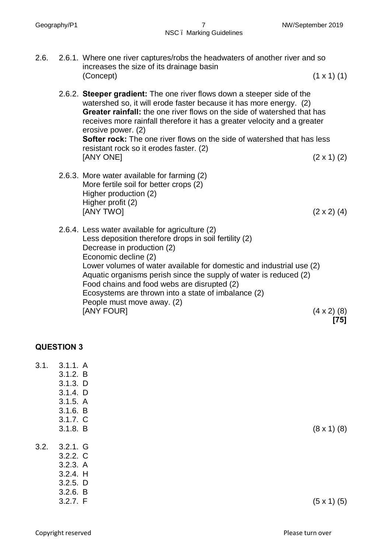- 2.6. 2.6.1. Where one river captures/robs the headwaters of another river and so increases the size of its drainage basin  $(1 \times 1)$   $(1)$ 
	- 2.6.2. **Steeper gradient:** The one river flows down a steeper side of the watershed so, it will erode faster because it has more energy. (2) **Greater rainfall:** the one river flows on the side of watershed that has receives more rainfall therefore it has a greater velocity and a greater erosive power. (2) **Softer rock:** The one river flows on the side of watershed that has less resistant rock so it erodes faster. (2)  $[ANY \t{ONE}]$  (2 x 1) (2)
	- 2.6.3. More water available for farming (2) More fertile soil for better crops (2) Higher production (2) Higher profit (2)  $[ANY \, TWO]$  (2 x 2) (4)
	- 2.6.4. Less water available for agriculture (2) Less deposition therefore drops in soil fertility (2) Decrease in production (2) Economic decline (2) Lower volumes of water available for domestic and industrial use (2) Aquatic organisms perish since the supply of water is reduced (2) Food chains and food webs are disrupted (2) Ecosystems are thrown into a state of imbalance (2) People must move away. (2)  $[ANY$  FOUR]  $(4 \times 2)$  (8) **[75]**

#### **QUESTION 3**

3.1. 3.1.1. A

3.1.2. B 3.1.3. D 3.1.4. D 3.1.5. A 3.1.6. B 3.1.7. C 3.1.8. B  $(8 \times 1)$  (8) 3.2. 3.2.1. G 3.2.2. C 3.2.3. A 3.2.4. H 3.2.5. D 3.2.6. B

3.2.7. F  $(5 \times 1)$  (5)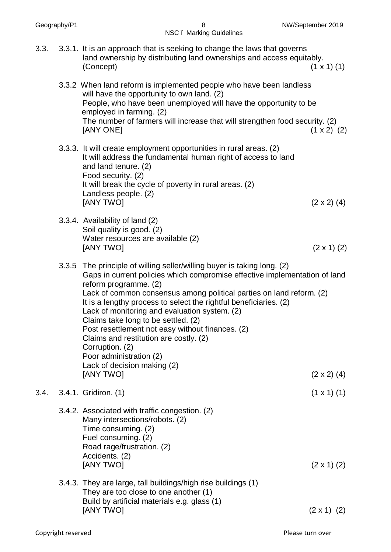|      |       | <b>NOV.</b> Marking Guidelines                                                                                                                                                                                                                                                                                                                                                                                                                                                                                                                                                           |                                          |
|------|-------|------------------------------------------------------------------------------------------------------------------------------------------------------------------------------------------------------------------------------------------------------------------------------------------------------------------------------------------------------------------------------------------------------------------------------------------------------------------------------------------------------------------------------------------------------------------------------------------|------------------------------------------|
| 3.3. |       | 3.3.1. It is an approach that is seeking to change the laws that governs<br>land ownership by distributing land ownerships and access equitably.<br>(Concept)                                                                                                                                                                                                                                                                                                                                                                                                                            | $(1 \times 1)$ $(1)$                     |
|      |       | 3.3.2 When land reform is implemented people who have been landless<br>will have the opportunity to own land. (2)<br>People, who have been unemployed will have the opportunity to be<br>employed in farming. (2)<br>The number of farmers will increase that will strengthen food security. (2)<br>[ANY ONE]                                                                                                                                                                                                                                                                            | $(1 \times 2)$ (2)                       |
|      |       | 3.3.3. It will create employment opportunities in rural areas. (2)<br>It will address the fundamental human right of access to land<br>and land tenure. (2)<br>Food security. (2)<br>It will break the cycle of poverty in rural areas. (2)<br>Landless people. (2)<br><b>JANY TWOI</b>                                                                                                                                                                                                                                                                                                  | $(2 \times 2)$ (4)                       |
|      |       | 3.3.4. Availability of land (2)<br>Soil quality is good. (2)<br>Water resources are available (2)<br>[ANY TWO]                                                                                                                                                                                                                                                                                                                                                                                                                                                                           | $(2 \times 1)$ (2)                       |
|      | 3.3.5 | The principle of willing seller/willing buyer is taking long. (2)<br>Gaps in current policies which compromise effective implementation of land<br>reform programme. (2)<br>Lack of common consensus among political parties on land reform. (2)<br>It is a lengthy process to select the rightful beneficiaries. (2)<br>Lack of monitoring and evaluation system. (2)<br>Claims take long to be settled. (2)<br>Post resettlement not easy without finances. (2)<br>Claims and restitution are costly. (2)<br>Corruption. (2)<br>Poor administration (2)<br>Lack of decision making (2) |                                          |
| 3.4. |       | [ANY TWO]<br>3.4.1. Gridiron. (1)                                                                                                                                                                                                                                                                                                                                                                                                                                                                                                                                                        | $(2 \times 2)$ (4)<br>$(1 \times 1)$ (1) |
|      |       | 3.4.2. Associated with traffic congestion. (2)<br>Many intersections/robots. (2)<br>Time consuming. (2)<br>Fuel consuming. (2)<br>Road rage/frustration. (2)<br>Accidents. (2)<br>[ANY TWO]                                                                                                                                                                                                                                                                                                                                                                                              | $(2 \times 1)$ (2)                       |
|      |       | 3.4.3. They are large, tall buildings/high rise buildings (1)<br>They are too close to one another (1)<br>Build by artificial materials e.g. glass (1)                                                                                                                                                                                                                                                                                                                                                                                                                                   |                                          |
|      |       | [ANY TWO]                                                                                                                                                                                                                                                                                                                                                                                                                                                                                                                                                                                | $(2 \times 1)$ (2)                       |

Geography/P1 8 NW/September 2019 NSC – Marking Guidelines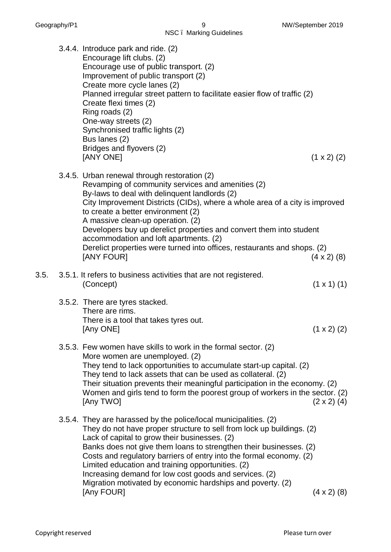|      | NSC. Marking Guidelines                                                                                                                                                                                                                                                                                                                                                                                                                                                                                                 |                    |
|------|-------------------------------------------------------------------------------------------------------------------------------------------------------------------------------------------------------------------------------------------------------------------------------------------------------------------------------------------------------------------------------------------------------------------------------------------------------------------------------------------------------------------------|--------------------|
|      | 3.4.4. Introduce park and ride. (2)<br>Encourage lift clubs. (2)<br>Encourage use of public transport. (2)<br>Improvement of public transport (2)<br>Create more cycle lanes (2)<br>Planned irregular street pattern to facilitate easier flow of traffic (2)<br>Create flexi times (2)<br>Ring roads (2)<br>One-way streets (2)<br>Synchronised traffic lights (2)<br>Bus lanes (2)<br>Bridges and flyovers (2)<br>[ANY ONE]                                                                                           | $(1 \times 2)$ (2) |
|      | 3.4.5. Urban renewal through restoration (2)<br>Revamping of community services and amenities (2)<br>By-laws to deal with delinquent landlords (2)<br>City Improvement Districts (CIDs), where a whole area of a city is improved<br>to create a better environment (2)<br>A massive clean-up operation. (2)<br>Developers buy up derelict properties and convert them into student<br>accommodation and loft apartments. (2)<br>Derelict properties were turned into offices, restaurants and shops. (2)<br>[ANY FOUR] | $(4 \times 2)$ (8) |
| 3.5. | 3.5.1. It refers to business activities that are not registered.<br>(Concept)                                                                                                                                                                                                                                                                                                                                                                                                                                           | $(1 \times 1)$ (1) |
|      | 3.5.2. There are tyres stacked.<br>There are rims.<br>There is a tool that takes tyres out.<br>[Any ONE]                                                                                                                                                                                                                                                                                                                                                                                                                | $(1 \times 2)$ (2) |

- 3.5.3. Few women have skills to work in the formal sector. (2) More women are unemployed. (2) They tend to lack opportunities to accumulate start-up capital. (2) They tend to lack assets that can be used as collateral. (2) Their situation prevents their meaningful participation in the economy. (2) Women and girls tend to form the poorest group of workers in the sector. (2)  $[Any TVO]$  (2 x 2) (4)
- 3.5.4. They are harassed by the police/local municipalities. (2) They do not have proper structure to sell from lock up buildings. (2) Lack of capital to grow their businesses. (2) Banks does not give them loans to strengthen their businesses. (2) Costs and regulatory barriers of entry into the formal economy. (2) Limited education and training opportunities. (2) Increasing demand for low cost goods and services. (2) Migration motivated by economic hardships and poverty. (2) [Any FOUR] (4 x 2) (8)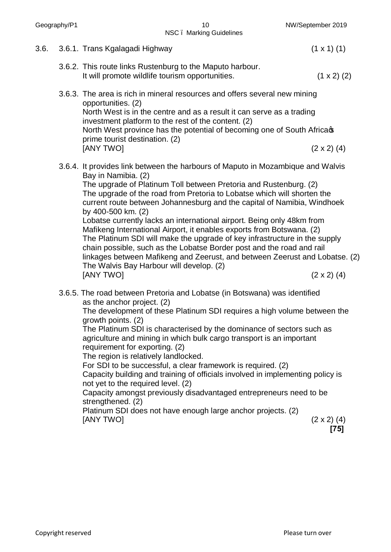| Geography/P1 |  | 10<br>NSC. Marking Guidelines                                                                                                                                                                                                                                                                                                                                                                                                     | NW/September 2019            |
|--------------|--|-----------------------------------------------------------------------------------------------------------------------------------------------------------------------------------------------------------------------------------------------------------------------------------------------------------------------------------------------------------------------------------------------------------------------------------|------------------------------|
| 3.6.         |  | 3.6.1. Trans Kgalagadi Highway                                                                                                                                                                                                                                                                                                                                                                                                    | $(1 \times 1)$ $(1)$         |
|              |  | 3.6.2. This route links Rustenburg to the Maputo harbour.<br>It will promote wildlife tourism opportunities.                                                                                                                                                                                                                                                                                                                      | $(1 \times 2)$ (2)           |
|              |  | 3.6.3. The area is rich in mineral resources and offers several new mining<br>opportunities. (2)<br>North West is in the centre and as a result it can serve as a trading<br>investment platform to the rest of the content. (2)                                                                                                                                                                                                  |                              |
|              |  | North West province has the potential of becoming one of South Africaqs<br>prime tourist destination. (2)                                                                                                                                                                                                                                                                                                                         |                              |
|              |  | [ANY TWO]                                                                                                                                                                                                                                                                                                                                                                                                                         | $(2 \times 2)$ (4)           |
|              |  | 3.6.4. It provides link between the harbours of Maputo in Mozambique and Walvis<br>Bay in Namibia. (2)                                                                                                                                                                                                                                                                                                                            |                              |
|              |  | The upgrade of Platinum Toll between Pretoria and Rustenburg. (2)<br>The upgrade of the road from Pretoria to Lobatse which will shorten the<br>current route between Johannesburg and the capital of Namibia, Windhoek<br>by 400-500 km. (2)                                                                                                                                                                                     |                              |
|              |  | Lobatse currently lacks an international airport. Being only 48km from<br>Mafikeng International Airport, it enables exports from Botswana. (2)<br>The Platinum SDI will make the upgrade of key infrastructure in the supply<br>chain possible, such as the Lobatse Border post and the road and rail<br>linkages between Mafikeng and Zeerust, and between Zeerust and Lobatse. (2)<br>The Walvis Bay Harbour will develop. (2) |                              |
|              |  | [ANY TWO]                                                                                                                                                                                                                                                                                                                                                                                                                         | $(2 \times 2)$ (4)           |
|              |  | 3.6.5. The road between Pretoria and Lobatse (in Botswana) was identified<br>as the anchor project. (2)                                                                                                                                                                                                                                                                                                                           |                              |
|              |  | The development of these Platinum SDI requires a high volume between the<br>growth points. (2)                                                                                                                                                                                                                                                                                                                                    |                              |
|              |  | The Platinum SDI is characterised by the dominance of sectors such as<br>agriculture and mining in which bulk cargo transport is an important<br>requirement for exporting. (2)<br>The region is relatively landlocked.                                                                                                                                                                                                           |                              |
|              |  | For SDI to be successful, a clear framework is required. (2)<br>Capacity building and training of officials involved in implementing policy is<br>not yet to the required level. (2)                                                                                                                                                                                                                                              |                              |
|              |  | Capacity amongst previously disadvantaged entrepreneurs need to be<br>strengthened. (2)                                                                                                                                                                                                                                                                                                                                           |                              |
|              |  | Platinum SDI does not have enough large anchor projects. (2)<br>[ANY TWO]                                                                                                                                                                                                                                                                                                                                                         | $(2 \times 2)$ (4)<br>$[75]$ |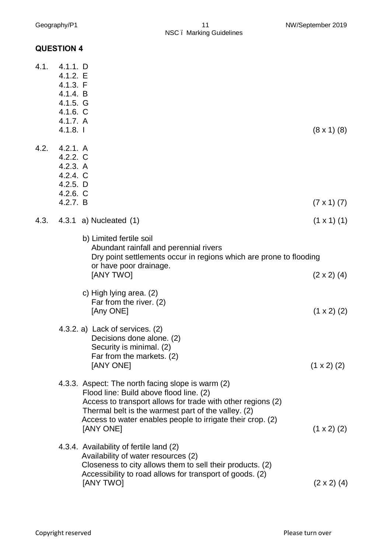#### **QUESTION 4**

| 4.1. | 4.1.1. D<br>4.1.2.E<br>4.1.3. F<br>4.1.4. B<br>$4.1.5.$ G<br>$4.1.6.$ C<br>4.1.7. A<br>4.1.8. |                                                                                                                                                                                                                                                                                               | $(8 \times 1)$ (8)   |
|------|-----------------------------------------------------------------------------------------------|-----------------------------------------------------------------------------------------------------------------------------------------------------------------------------------------------------------------------------------------------------------------------------------------------|----------------------|
| 4.2. | 4.2.1. A<br>$4.2.2.$ C<br>4.2.3. A<br>4.2.4. C<br>4.2.5. D<br>$4.2.6$ . C<br>4.2.7. B         |                                                                                                                                                                                                                                                                                               | $(7 \times 1) (7)$   |
| 4.3. |                                                                                               | 4.3.1 a) Nucleated $(1)$                                                                                                                                                                                                                                                                      | $(1 \times 1)$ $(1)$ |
|      |                                                                                               | b) Limited fertile soil<br>Abundant rainfall and perennial rivers<br>Dry point settlements occur in regions which are prone to flooding<br>or have poor drainage.<br>[ANY TWO]                                                                                                                | $(2 \times 2)$ (4)   |
|      |                                                                                               | c) High lying area. (2)<br>Far from the river. (2)<br>[Any ONE]                                                                                                                                                                                                                               | $(1 \times 2)$ (2)   |
|      |                                                                                               | 4.3.2. a) Lack of services. (2)<br>Decisions done alone. (2)<br>Security is minimal. (2)<br>Far from the markets. (2)<br>[ANY ONE]                                                                                                                                                            | $(1 \times 2)$ (2)   |
|      |                                                                                               | 4.3.3. Aspect: The north facing slope is warm (2)<br>Flood line: Build above flood line. (2)<br>Access to transport allows for trade with other regions (2)<br>Thermal belt is the warmest part of the valley. (2)<br>Access to water enables people to irrigate their crop. (2)<br>[ANY ONE] | $(1 \times 2)$ (2)   |
|      |                                                                                               | 4.3.4. Availability of fertile land (2)<br>Availability of water resources (2)<br>Closeness to city allows them to sell their products. (2)<br>Accessibility to road allows for transport of goods. (2)<br>[ANY TWO]                                                                          | $(2 \times 2)$ (4)   |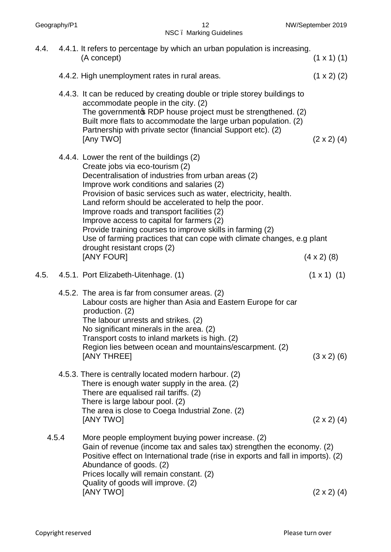NSC – Marking Guidelines

| 4.4.  | 4.4.1. It refers to percentage by which an urban population is increasing.<br>(A concept)                                                                                                                                                                                                                                                                                                                                                                                                                                                                                                 | $(1 \times 1)$ $(1)$ |
|-------|-------------------------------------------------------------------------------------------------------------------------------------------------------------------------------------------------------------------------------------------------------------------------------------------------------------------------------------------------------------------------------------------------------------------------------------------------------------------------------------------------------------------------------------------------------------------------------------------|----------------------|
|       | 4.4.2. High unemployment rates in rural areas.                                                                                                                                                                                                                                                                                                                                                                                                                                                                                                                                            | $(1 \times 2)$ (2)   |
|       | 4.4.3. It can be reduced by creating double or triple storey buildings to<br>accommodate people in the city. (2)<br>The government & RDP house project must be strengthened. (2)<br>Built more flats to accommodate the large urban population. (2)<br>Partnership with private sector (financial Support etc). (2)<br>[Any TWO]                                                                                                                                                                                                                                                          | $(2 \times 2)$ (4)   |
|       | 4.4.4. Lower the rent of the buildings (2)<br>Create jobs via eco-tourism (2)<br>Decentralisation of industries from urban areas (2)<br>Improve work conditions and salaries (2)<br>Provision of basic services such as water, electricity, health.<br>Land reform should be accelerated to help the poor.<br>Improve roads and transport facilities (2)<br>Improve access to capital for farmers (2)<br>Provide training courses to improve skills in farming (2)<br>Use of farming practices that can cope with climate changes, e.g plant<br>drought resistant crops (2)<br>[ANY FOUR] | $(4 \times 2)$ (8)   |
| 4.5.  | 4.5.1. Port Elizabeth-Uitenhage. (1)                                                                                                                                                                                                                                                                                                                                                                                                                                                                                                                                                      | $(1 \times 1)$ (1)   |
|       | 4.5.2. The area is far from consumer areas. (2)<br>Labour costs are higher than Asia and Eastern Europe for car<br>production. (2)<br>The labour unrests and strikes. (2)<br>No significant minerals in the area. (2)<br>Transport costs to inland markets is high. (2)<br>Region lies between ocean and mountains/escarpment. (2)<br>[ANY THREE]                                                                                                                                                                                                                                         | $(3 \times 2)$ (6)   |
|       | 4.5.3. There is centrally located modern harbour. (2)<br>There is enough water supply in the area. (2)<br>There are equalised rail tariffs. (2)<br>There is large labour pool. (2)<br>The area is close to Coega Industrial Zone. (2)<br>[ANY TWO]                                                                                                                                                                                                                                                                                                                                        | $(2 \times 2)$ (4)   |
| 4.5.4 | More people employment buying power increase. (2)<br>Gain of revenue (income tax and sales tax) strengthen the economy. (2)<br>Positive effect on International trade (rise in exports and fall in imports). (2)<br>Abundance of goods. (2)<br>Prices locally will remain constant. (2)<br>Quality of goods will improve. (2)<br>[ANY TWO]                                                                                                                                                                                                                                                | $(2 \times 2)$ (4)   |